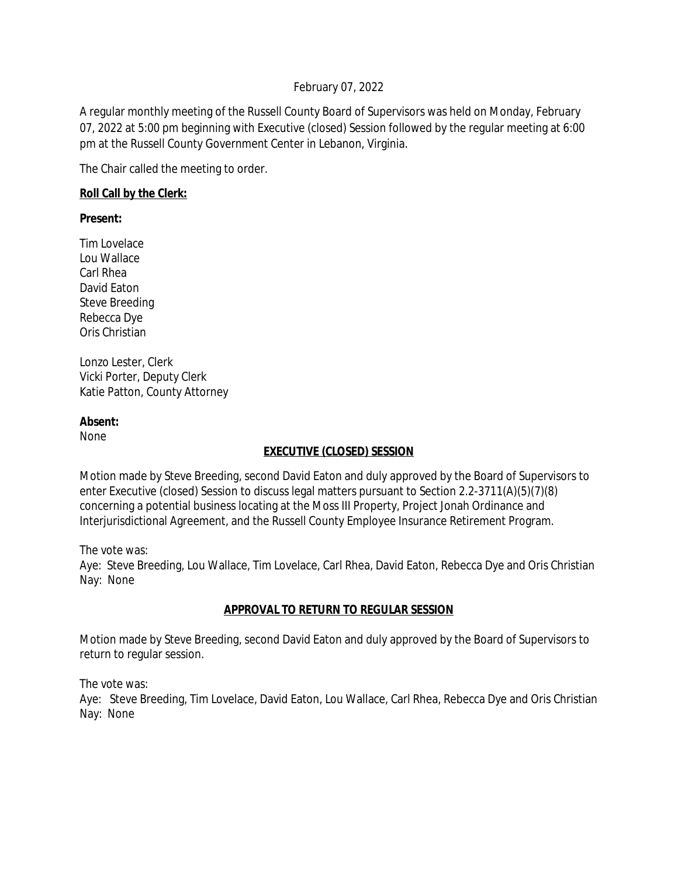### February 07, 2022

A regular monthly meeting of the Russell County Board of Supervisors was held on Monday, February 07, 2022 at 5:00 pm beginning with Executive (closed) Session followed by the regular meeting at 6:00 pm at the Russell County Government Center in Lebanon, Virginia.

The Chair called the meeting to order.

### **Roll Call by the Clerk:**

**Present:**

Tim Lovelace Lou Wallace Carl Rhea David Eaton Steve Breeding Rebecca Dye Oris Christian

Lonzo Lester, Clerk Vicki Porter, Deputy Clerk Katie Patton, County Attorney

### **Absent:**

None

# **EXECUTIVE (CLOSED) SESSION**

Motion made by Steve Breeding, second David Eaton and duly approved by the Board of Supervisors to enter Executive (closed) Session to discuss legal matters pursuant to Section 2.2-3711(A)(5)(7)(8) concerning a potential business locating at the Moss III Property, Project Jonah Ordinance and Interjurisdictional Agreement, and the Russell County Employee Insurance Retirement Program.

The vote was:

Aye: Steve Breeding, Lou Wallace, Tim Lovelace, Carl Rhea, David Eaton, Rebecca Dye and Oris Christian Nay: None

# **APPROVAL TO RETURN TO REGULAR SESSION**

Motion made by Steve Breeding, second David Eaton and duly approved by the Board of Supervisors to return to regular session.

The vote was:

Aye: Steve Breeding, Tim Lovelace, David Eaton, Lou Wallace, Carl Rhea, Rebecca Dye and Oris Christian Nay: None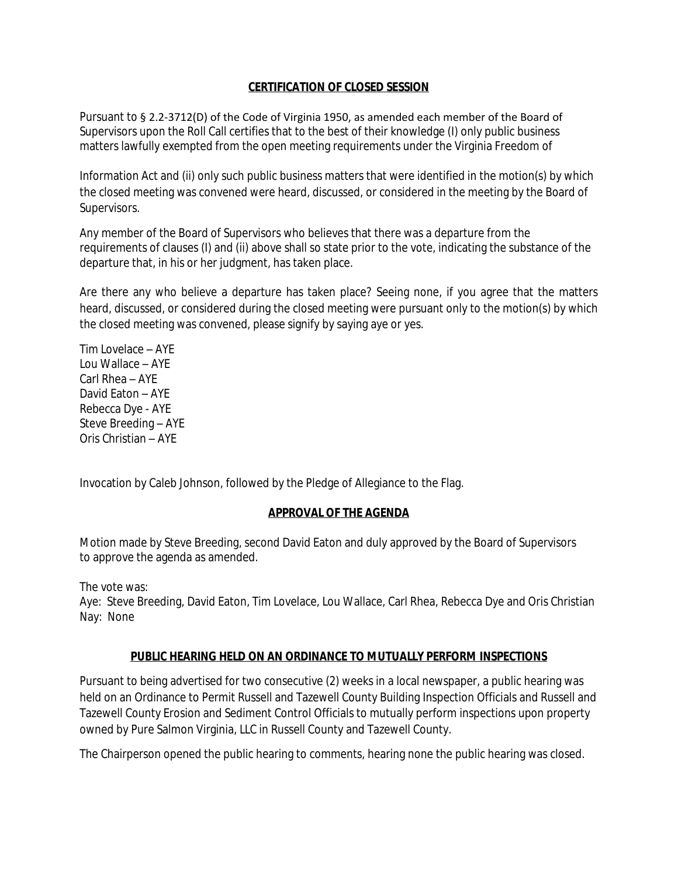#### **CERTIFICATION OF CLOSED SESSION**

Pursuant to § 2.2-3712(D) of the Code of Virginia 1950, as amended each member of the Board of Supervisors upon the Roll Call certifies that to the best of their knowledge (I) only public business matters lawfully exempted from the open meeting requirements under the Virginia Freedom of

Information Act and (ii) only such public business matters that were identified in the motion(s) by which the closed meeting was convened were heard, discussed, or considered in the meeting by the Board of Supervisors.

Any member of the Board of Supervisors who believes that there was a departure from the requirements of clauses (I) and (ii) above shall so state prior to the vote, indicating the substance of the departure that, in his or her judgment, has taken place.

Are there any who believe a departure has taken place? Seeing none, if you agree that the matters heard, discussed, or considered during the closed meeting were pursuant only to the motion(s) by which the closed meeting was convened, please signify by saying aye or yes.

Tim Lovelace – AYE Lou Wallace – AYE Carl Rhea – AYE David Eaton – AYE Rebecca Dye - AYE Steve Breeding – AYE Oris Christian – AYE

Invocation by Caleb Johnson, followed by the Pledge of Allegiance to the Flag.

# **APPROVAL OF THE AGENDA**

Motion made by Steve Breeding, second David Eaton and duly approved by the Board of Supervisors to approve the agenda as amended.

The vote was:

Aye: Steve Breeding, David Eaton, Tim Lovelace, Lou Wallace, Carl Rhea, Rebecca Dye and Oris Christian Nay: None

#### **PUBLIC HEARING HELD ON AN ORDINANCE TO MUTUALLY PERFORM INSPECTIONS**

Pursuant to being advertised for two consecutive (2) weeks in a local newspaper, a public hearing was held on an Ordinance to Permit Russell and Tazewell County Building Inspection Officials and Russell and Tazewell County Erosion and Sediment Control Officials to mutually perform inspections upon property owned by Pure Salmon Virginia, LLC in Russell County and Tazewell County.

The Chairperson opened the public hearing to comments, hearing none the public hearing was closed.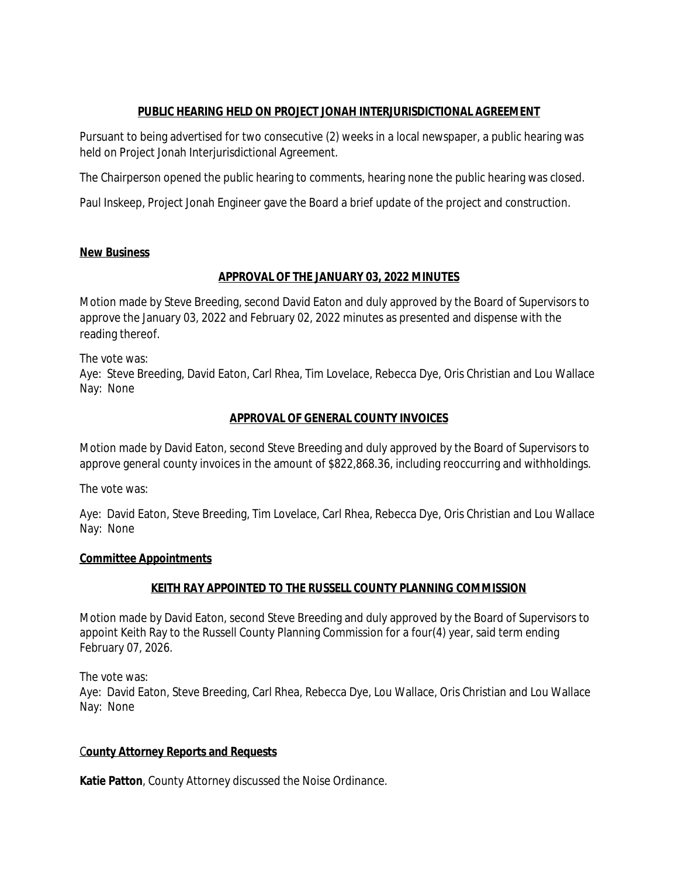# **PUBLIC HEARING HELD ON PROJECT JONAH INTERJURISDICTIONAL AGREEMENT**

Pursuant to being advertised for two consecutive (2) weeks in a local newspaper, a public hearing was held on Project Jonah Interjurisdictional Agreement.

The Chairperson opened the public hearing to comments, hearing none the public hearing was closed.

Paul Inskeep, Project Jonah Engineer gave the Board a brief update of the project and construction.

# **New Business**

# **APPROVAL OF THE JANUARY 03, 2022 MINUTES**

Motion made by Steve Breeding, second David Eaton and duly approved by the Board of Supervisors to approve the January 03, 2022 and February 02, 2022 minutes as presented and dispense with the reading thereof.

The vote was: Aye: Steve Breeding, David Eaton, Carl Rhea, Tim Lovelace, Rebecca Dye, Oris Christian and Lou Wallace Nay: None

# **APPROVAL OF GENERAL COUNTY INVOICES**

Motion made by David Eaton, second Steve Breeding and duly approved by the Board of Supervisors to approve general county invoices in the amount of \$822,868.36, including reoccurring and withholdings.

The vote was:

Aye: David Eaton, Steve Breeding, Tim Lovelace, Carl Rhea, Rebecca Dye, Oris Christian and Lou Wallace Nay: None

# **Committee Appointments**

# **KEITH RAY APPOINTED TO THE RUSSELL COUNTY PLANNING COMMISSION**

Motion made by David Eaton, second Steve Breeding and duly approved by the Board of Supervisors to appoint Keith Ray to the Russell County Planning Commission for a four(4) year, said term ending February 07, 2026.

The vote was:

Aye: David Eaton, Steve Breeding, Carl Rhea, Rebecca Dye, Lou Wallace, Oris Christian and Lou Wallace Nay: None

# C**ounty Attorney Reports and Requests**

**Katie Patton**, County Attorney discussed the Noise Ordinance.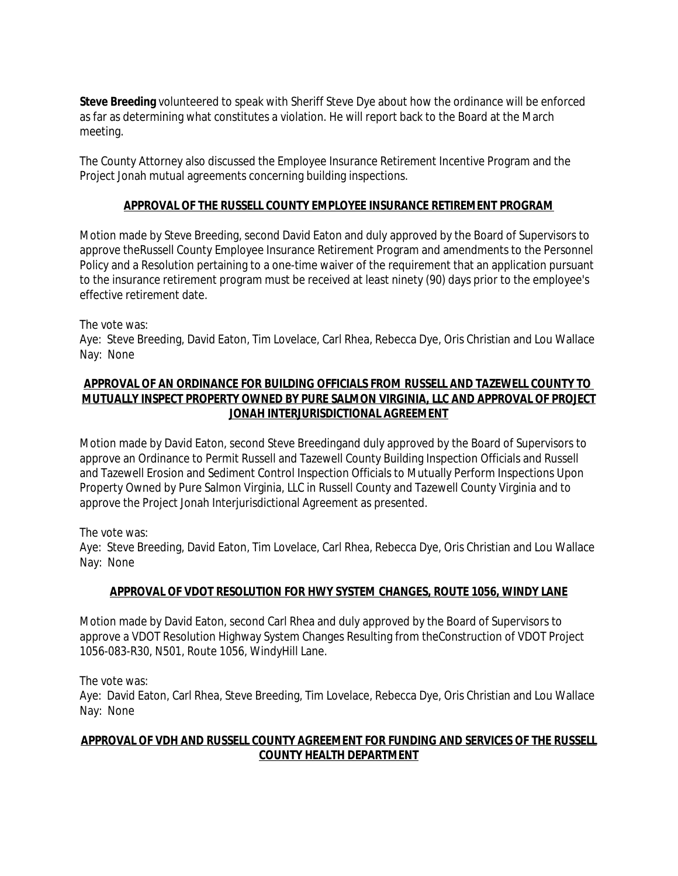**Steve Breeding** volunteered to speak with Sheriff Steve Dye about how the ordinance will be enforced as far as determining what constitutes a violation. He will report back to the Board at the March meeting.

The County Attorney also discussed the Employee Insurance Retirement Incentive Program and the Project Jonah mutual agreements concerning building inspections.

## **APPROVAL OF THE RUSSELL COUNTY EMPLOYEE INSURANCE RETIREMENT PROGRAM**

Motion made by Steve Breeding, second David Eaton and duly approved by the Board of Supervisors to approve theRussell County Employee Insurance Retirement Program and amendments to the Personnel Policy and a Resolution pertaining to a one-time waiver of the requirement that an application pursuant to the insurance retirement program must be received at least ninety (90) days prior to the employee's effective retirement date.

The vote was:

Aye: Steve Breeding, David Eaton, Tim Lovelace, Carl Rhea, Rebecca Dye, Oris Christian and Lou Wallace Nay: None

### **APPROVAL OF AN ORDINANCE FOR BUILDING OFFICIALS FROM RUSSELL AND TAZEWELL COUNTY TO MUTUALLY INSPECT PROPERTY OWNED BY PURE SALMON VIRGINIA, LLC AND APPROVAL OF PROJECT JONAH INTERJURISDICTIONAL AGREEMENT**

Motion made by David Eaton, second Steve Breedingand duly approved by the Board of Supervisors to approve an Ordinance to Permit Russell and Tazewell County Building Inspection Officials and Russell and Tazewell Erosion and Sediment Control Inspection Officials to Mutually Perform Inspections Upon Property Owned by Pure Salmon Virginia, LLC in Russell County and Tazewell County Virginia and to approve the Project Jonah Interjurisdictional Agreement as presented.

The vote was:

Aye: Steve Breeding, David Eaton, Tim Lovelace, Carl Rhea, Rebecca Dye, Oris Christian and Lou Wallace Nay: None

# **APPROVAL OF VDOT RESOLUTION FOR HWY SYSTEM CHANGES, ROUTE 1056, WINDY LANE**

Motion made by David Eaton, second Carl Rhea and duly approved by the Board of Supervisors to approve a VDOT Resolution Highway System Changes Resulting from theConstruction of VDOT Project 1056-083-R30, N501, Route 1056, WindyHill Lane.

The vote was:

Aye: David Eaton, Carl Rhea, Steve Breeding, Tim Lovelace, Rebecca Dye, Oris Christian and Lou Wallace Nay: None

### **APPROVAL OF VDH AND RUSSELL COUNTY AGREEMENT FOR FUNDING AND SERVICES OF THE RUSSELL COUNTY HEALTH DEPARTMENT**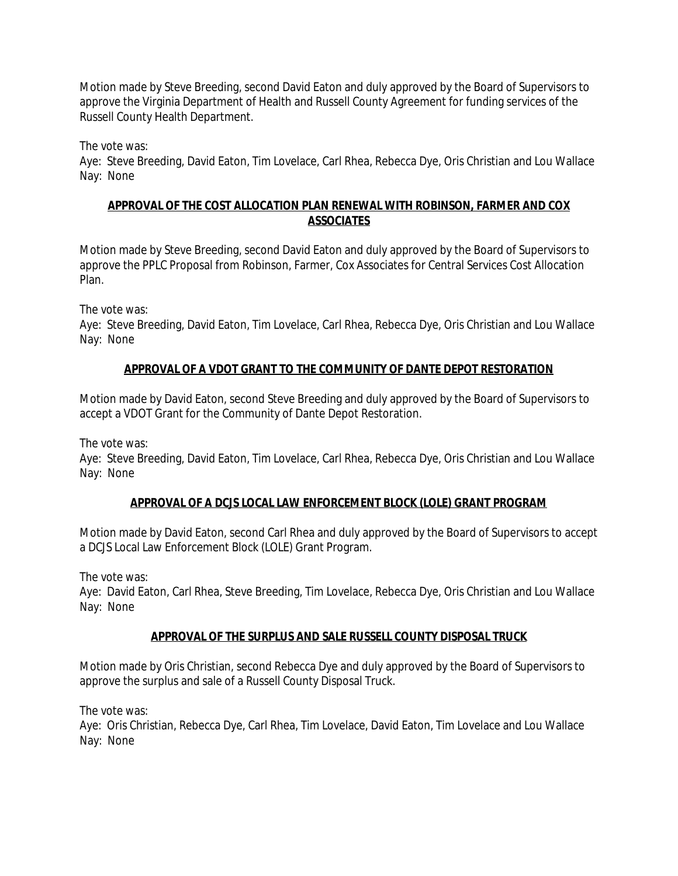Motion made by Steve Breeding, second David Eaton and duly approved by the Board of Supervisors to approve the Virginia Department of Health and Russell County Agreement for funding services of the Russell County Health Department.

The vote was:

Aye: Steve Breeding, David Eaton, Tim Lovelace, Carl Rhea, Rebecca Dye, Oris Christian and Lou Wallace Nay: None

## **APPROVAL OF THE COST ALLOCATION PLAN RENEWAL WITH ROBINSON, FARMER AND COX ASSOCIATES**

Motion made by Steve Breeding, second David Eaton and duly approved by the Board of Supervisors to approve the PPLC Proposal from Robinson, Farmer, Cox Associates for Central Services Cost Allocation Plan.

The vote was:

Aye: Steve Breeding, David Eaton, Tim Lovelace, Carl Rhea, Rebecca Dye, Oris Christian and Lou Wallace Nay: None

# **APPROVAL OF A VDOT GRANT TO THE COMMUNITY OF DANTE DEPOT RESTORATION**

Motion made by David Eaton, second Steve Breeding and duly approved by the Board of Supervisors to accept a VDOT Grant for the Community of Dante Depot Restoration.

The vote was:

Aye: Steve Breeding, David Eaton, Tim Lovelace, Carl Rhea, Rebecca Dye, Oris Christian and Lou Wallace Nay: None

# **APPROVAL OF A DCJS LOCAL LAW ENFORCEMENT BLOCK (LOLE) GRANT PROGRAM**

Motion made by David Eaton, second Carl Rhea and duly approved by the Board of Supervisors to accept a DCJS Local Law Enforcement Block (LOLE) Grant Program.

The vote was:

Aye: David Eaton, Carl Rhea, Steve Breeding, Tim Lovelace, Rebecca Dye, Oris Christian and Lou Wallace Nay: None

# **APPROVAL OF THE SURPLUS AND SALE RUSSELL COUNTY DISPOSAL TRUCK**

Motion made by Oris Christian, second Rebecca Dye and duly approved by the Board of Supervisors to approve the surplus and sale of a Russell County Disposal Truck.

The vote was:

Aye: Oris Christian, Rebecca Dye, Carl Rhea, Tim Lovelace, David Eaton, Tim Lovelace and Lou Wallace Nay: None